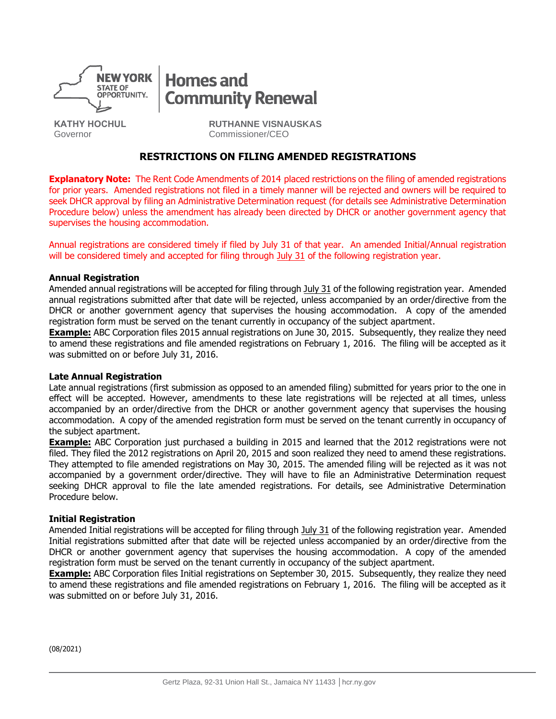

# **Homes and Community Renewal**

**KATHY HOCHUL** Governor

**RUTHANNE VISNAUSKAS** Commissioner/CEO

### **RESTRICTIONS ON FILING AMENDED REGISTRATIONS**

**Explanatory Note:** The Rent Code Amendments of 2014 placed restrictions on the filing of amended registrations for prior years. Amended registrations not filed in a timely manner will be rejected and owners will be required to seek DHCR approval by filing an Administrative Determination request (for details see Administrative Determination Procedure below) unless the amendment has already been directed by DHCR or another government agency that supervises the housing accommodation.

Annual registrations are considered timely if filed by July 31 of that year. An amended Initial/Annual registration will be considered timely and accepted for filing through July 31 of the following registration year.

#### **Annual Registration**

Amended annual registrations will be accepted for filing through July 31 of the following registration year. Amended annual registrations submitted after that date will be rejected, unless accompanied by an order/directive from the DHCR or another government agency that supervises the housing accommodation. A copy of the amended registration form must be served on the tenant currently in occupancy of the subject apartment.

**Example:** ABC Corporation files 2015 annual registrations on June 30, 2015. Subsequently, they realize they need to amend these registrations and file amended registrations on February 1, 2016. The filing will be accepted as it was submitted on or before July 31, 2016.

#### **Late Annual Registration**

Late annual registrations (first submission as opposed to an amended filing) submitted for years prior to the one in effect will be accepted. However, amendments to these late registrations will be rejected at all times, unless accompanied by an order/directive from the DHCR or another government agency that supervises the housing accommodation. A copy of the amended registration form must be served on the tenant currently in occupancy of the subject apartment.

**Example:** ABC Corporation just purchased a building in 2015 and learned that the 2012 registrations were not filed. They filed the 2012 registrations on April 20, 2015 and soon realized they need to amend these registrations. They attempted to file amended registrations on May 30, 2015. The amended filing will be rejected as it was not accompanied by a government order/directive. They will have to file an Administrative Determination request seeking DHCR approval to file the late amended registrations. For details, see Administrative Determination Procedure below.

#### **Initial Registration**

Amended Initial registrations will be accepted for filing through July 31 of the following registration year. Amended Initial registrations submitted after that date will be rejected unless accompanied by an order/directive from the DHCR or another government agency that supervises the housing accommodation. A copy of the amended registration form must be served on the tenant currently in occupancy of the subject apartment.

**Example:** ABC Corporation files Initial registrations on September 30, 2015. Subsequently, they realize they need to amend these registrations and file amended registrations on February 1, 2016. The filing will be accepted as it was submitted on or before July 31, 2016.

(08/2021)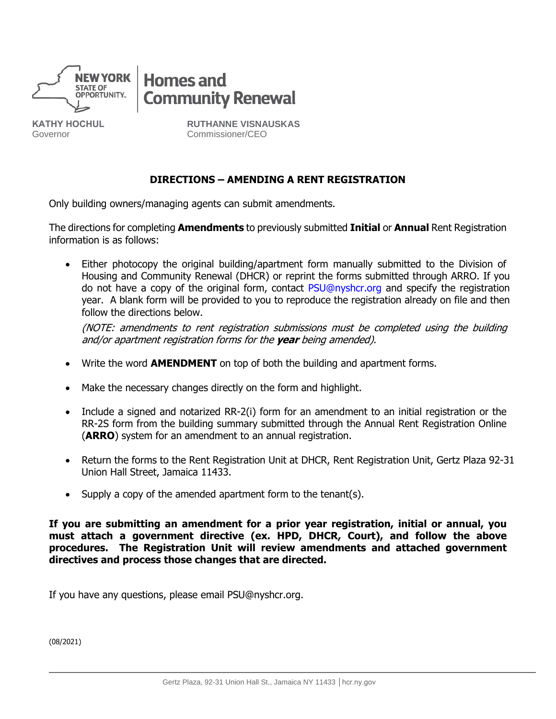

**KATHY HOCHUL** Governor



**RUTHANNE VISNAUSKAS** Commissioner/CEO

## **DIRECTIONS – AMENDING A RENT REGISTRATION**

Only building owners/managing agents can submit amendments.

The directions for completing **Amendments** to previously submitted **Initial** or **Annual** Rent Registration information is as follows:

Either photocopy the original building/apartment form manually submitted to the Division of Housing and Community Renewal (DHCR) or reprint the forms submitted through ARRO. If you do not have a copy of the original form, conta[ct PSU@nyshcr.or](mailto:PSU@nyshcr.org)g and specify the registration year. A blank form will be provided to you to reproduce the registration already on file and then follow the directions below.

(NOTE: amendments to rent registration submissions must be completed using the building and/or apartment registration forms for the **year** being amended).

- Write the word **AMENDMENT** on top of both the building and apartment forms.
- Make the necessary changes directly on the form and highlight.
- Include a signed and notarized RR-2(i) form for an amendment to an initial registration or the RR-2S form from the building summary submitted through the Annual Rent Registration Online (**ARRO**) system for an amendment to an annual registration.
- Return the forms to the Rent Registration Unit at DHCR, Rent Registration Unit, Gertz Plaza 92-31 Union Hall Street, Jamaica 11433.
- Supply a copy of the amended apartment form to the tenant(s).

**If you are submitting an amendment for a prior year registration, initial or annual, you must attach a government directive (ex. HPD, DHCR, Court), and follow the above procedures. The Registration Unit will review amendments and attached government directives and process those changes that are directed.**

If you have any questions, please email PSU@nyshcr.org.

(08/2021)